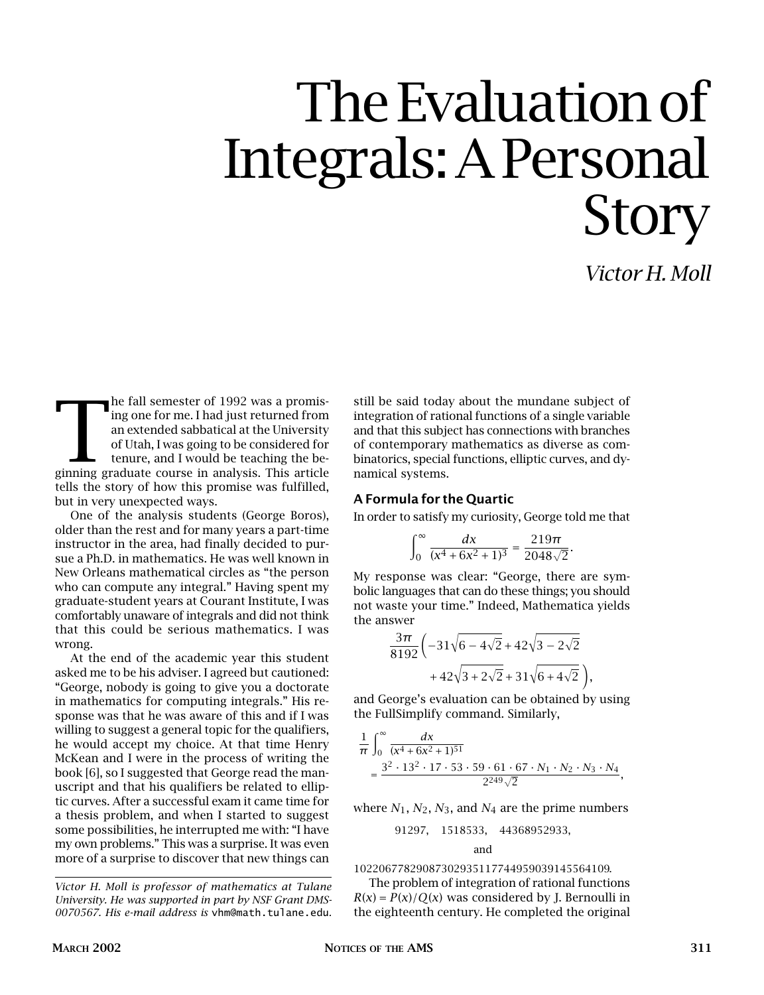# The Evaluation of Integrals: A Personal Story

*Victor H. Moll*

The fall semester of 1992 was a promising one for me. I had just returned from<br>an extended sabbatical at the University<br>of Utah, I was going to be considered for<br>tenure, and I would be teaching the be-<br>ginning graduate cou he fall semester of 1992 was a promising one for me. I had just returned from an extended sabbatical at the University of Utah, I was going to be considered for tenure, and I would be teaching the betells the story of how this promise was fulfilled, but in very unexpected ways.

One of the analysis students (George Boros), older than the rest and for many years a part-time instructor in the area, had finally decided to pursue a Ph.D. in mathematics. He was well known in New Orleans mathematical circles as "the person who can compute any integral." Having spent my graduate-student years at Courant Institute, I was comfortably unaware of integrals and did not think that this could be serious mathematics. I was wrong.

At the end of the academic year this student asked me to be his adviser. I agreed but cautioned: "George, nobody is going to give you a doctorate in mathematics for computing integrals." His response was that he was aware of this and if I was willing to suggest a general topic for the qualifiers, he would accept my choice. At that time Henry McKean and I were in the process of writing the book [6], so I suggested that George read the manuscript and that his qualifiers be related to elliptic curves. After a successful exam it came time for a thesis problem, and when I started to suggest some possibilities, he interrupted me with: "I have my own problems." This was a surprise. It was even more of a surprise to discover that new things can still be said today about the mundane subject of integration of rational functions of a single variable and that this subject has connections with branches of contemporary mathematics as diverse as combinatorics, special functions, elliptic curves, and dynamical systems.

#### **A Formula for the Quartic**

In order to satisfy my curiosity, George told me that

$$
\int_0^\infty \frac{dx}{(x^4 + 6x^2 + 1)^3} = \frac{219\pi}{2048\sqrt{2}}.
$$

My response was clear: "George, there are symbolic languages that can do these things; you should not waste your time." Indeed, Mathematica yields the answer

$$
\frac{3\pi}{8192} \left(-31\sqrt{6-4\sqrt{2}}+42\sqrt{3-2\sqrt{2}}\n+42\sqrt{3+2\sqrt{2}}+31\sqrt{6+4\sqrt{2}}\right)
$$

and George's evaluation can be obtained by using the FullSimplify command. Similarly,

*,*

$$
\frac{1}{\pi} \int_0^\infty \frac{dx}{(x^4 + 6x^2 + 1)^{51}} = \frac{3^2 \cdot 13^2 \cdot 17 \cdot 53 \cdot 59 \cdot 61 \cdot 67 \cdot N_1 \cdot N_2 \cdot N_3 \cdot N_4}{2^{249}\sqrt{2}},
$$

where  $N_1$ ,  $N_2$ ,  $N_3$ , and  $N_4$  are the prime numbers

91297*,* 1518533*,* 44368952933*,*

and

#### 10220677829087302935117744959039145564109*.*

The problem of integration of rational functions  $R(x) = P(x)/Q(x)$  was considered by J. Bernoulli in the eighteenth century. He completed the original

*Victor H. Moll is professor of mathematics at Tulane University. He was supported in part by NSF Grant DMS-0070567. His e-mail address is* vhm@math.tulane.edu*.*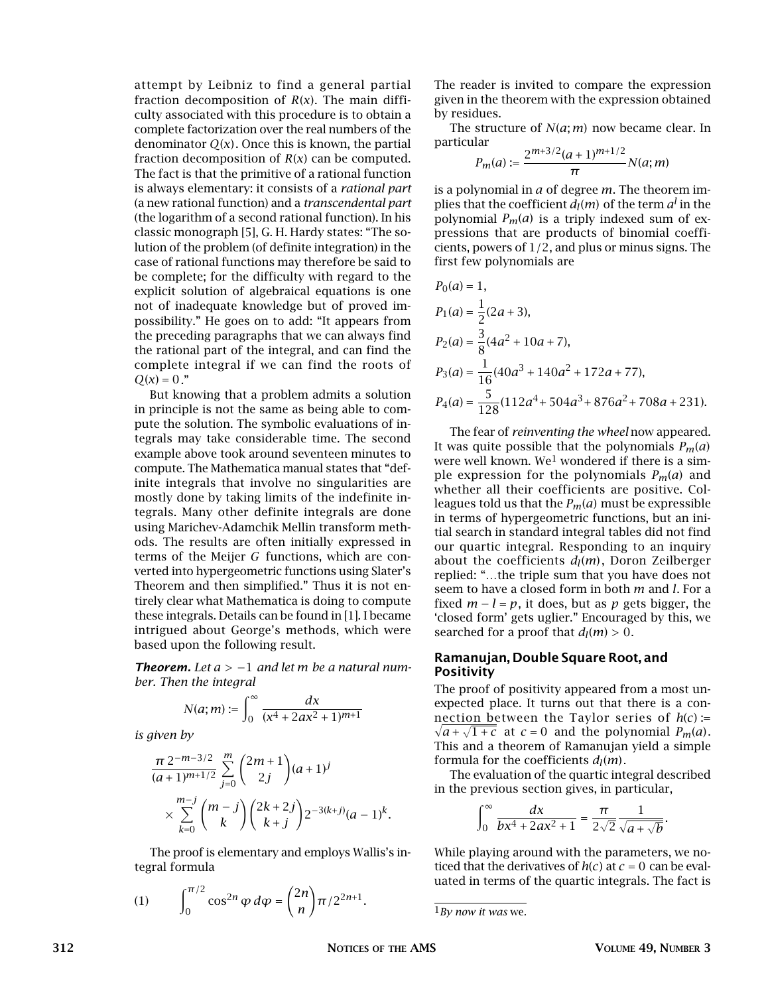attempt by Leibniz to find a general partial fraction decomposition of *R*(*x*). The main difficulty associated with this procedure is to obtain a complete factorization over the real numbers of the denominator *Q*(*x*). Once this is known, the partial fraction decomposition of  $R(x)$  can be computed. The fact is that the primitive of a rational function is always elementary: it consists of a *rational part* (a new rational function) and a *transcendental part* (the logarithm of a second rational function). In his classic monograph [5], G. H. Hardy states: "The solution of the problem (of definite integration) in the case of rational functions may therefore be said to be complete; for the difficulty with regard to the explicit solution of algebraical equations is one not of inadequate knowledge but of proved impossibility." He goes on to add: "It appears from the preceding paragraphs that we can always find the rational part of the integral, and can find the complete integral if we can find the roots of  $Q(x) = 0.$ "

But knowing that a problem admits a solution in principle is not the same as being able to compute the solution. The symbolic evaluations of integrals may take considerable time. The second example above took around seventeen minutes to compute. The Mathematica manual states that "definite integrals that involve no singularities are mostly done by taking limits of the indefinite integrals. Many other definite integrals are done using Marichev-Adamchik Mellin transform methods. The results are often initially expressed in terms of the Meijer *G* functions, which are converted into hypergeometric functions using Slater's Theorem and then simplified." Thus it is not entirely clear what Mathematica is doing to compute these integrals. Details can be found in [1]. I became intrigued about George's methods, which were based upon the following result.

*Theorem. Let a >* −1 *and let m be a natural number. Then the integral*

$$
N(a; m) := \int_0^\infty \frac{dx}{(x^4 + 2ax^2 + 1)^{m+1}}
$$

*is given by*

$$
\frac{\pi 2^{-m-3/2}}{(a+1)^{m+1/2}} \sum_{j=0}^{m} \binom{2m+1}{2j} (a+1)^j
$$
  
 
$$
\times \sum_{k=0}^{m-j} \binom{m-j}{k} \binom{2k+2j}{k+j} 2^{-3(k+j)} (a-1)^k.
$$

The proof is elementary and employs Wallis's integral formula

(1)  $\int_0^{\pi/2}$  $\int_0^{\pi/2} \cos^{2n} \varphi \, d\varphi = \left(\frac{2n}{n}\right)$ *n*  $\int \frac{\pi}{2^{2n+1}}$ . The reader is invited to compare the expression given in the theorem with the expression obtained by residues.

The structure of *N*(*a*; *m*) now became clear. In particular

$$
P_m(a) := \frac{2^{m+3/2}(a+1)^{m+1/2}}{\pi} N(a;m)
$$

is a polynomial in *a* of degree *m*. The theorem implies that the coefficient  $d_l(m)$  of the term  $a^l$  in the polynomial  $P_m(a)$  is a triply indexed sum of expressions that are products of binomial coefficients, powers of 1*/*2, and plus or minus signs. The first few polynomials are

$$
P_0(a) = 1,
$$
  
\n
$$
P_1(a) = \frac{1}{2}(2a + 3),
$$
  
\n
$$
P_2(a) = \frac{3}{8}(4a^2 + 10a + 7),
$$
  
\n
$$
P_3(a) = \frac{1}{16}(40a^3 + 140a^2 + 172a + 77),
$$
  
\n
$$
P_4(a) = \frac{5}{128}(112a^4 + 504a^3 + 876a^2 + 708a + 231).
$$

The fear of *reinventing the wheel* now appeared. It was quite possible that the polynomials  $P_m(a)$ were well known. We<sup>1</sup> wondered if there is a simple expression for the polynomials *Pm*(*a*) and whether all their coefficients are positive. Colleagues told us that the  $P_m(a)$  must be expressible in terms of hypergeometric functions, but an initial search in standard integral tables did not find our quartic integral. Responding to an inquiry about the coefficients  $d_l(m)$ , Doron Zeilberger replied: "…the triple sum that you have does not seem to have a closed form in both *m* and *l*. For a fixed  $m - l = p$ , it does, but as p gets bigger, the 'closed form' gets uglier." Encouraged by this, we searched for a proof that  $d_l(m) > 0$ .

## **Ramanujan, Double Square Root, and Positivity**

The proof of positivity appeared from a most unexpected place. It turns out that there is a con-  $\sqrt{a} + \sqrt{1+c}$  at *c* = 0 and the polynomial *P<sub>m</sub>*(*a*). nection between the Taylor series of *h*(*c*) = This and a theorem of Ramanujan yield a simple formula for the coefficients  $d_l(m)$ .

The evaluation of the quartic integral described in the previous section gives, in particular,

$$
\int_0^\infty \frac{dx}{bx^4 + 2ax^2 + 1} = \frac{\pi}{2\sqrt{2}} \frac{1}{\sqrt{a + \sqrt{b}}}.
$$

While playing around with the parameters, we noticed that the derivatives of  $h(c)$  at  $c = 0$  can be evaluated in terms of the quartic integrals. The fact is

<sup>1</sup>*By now it was* we*.*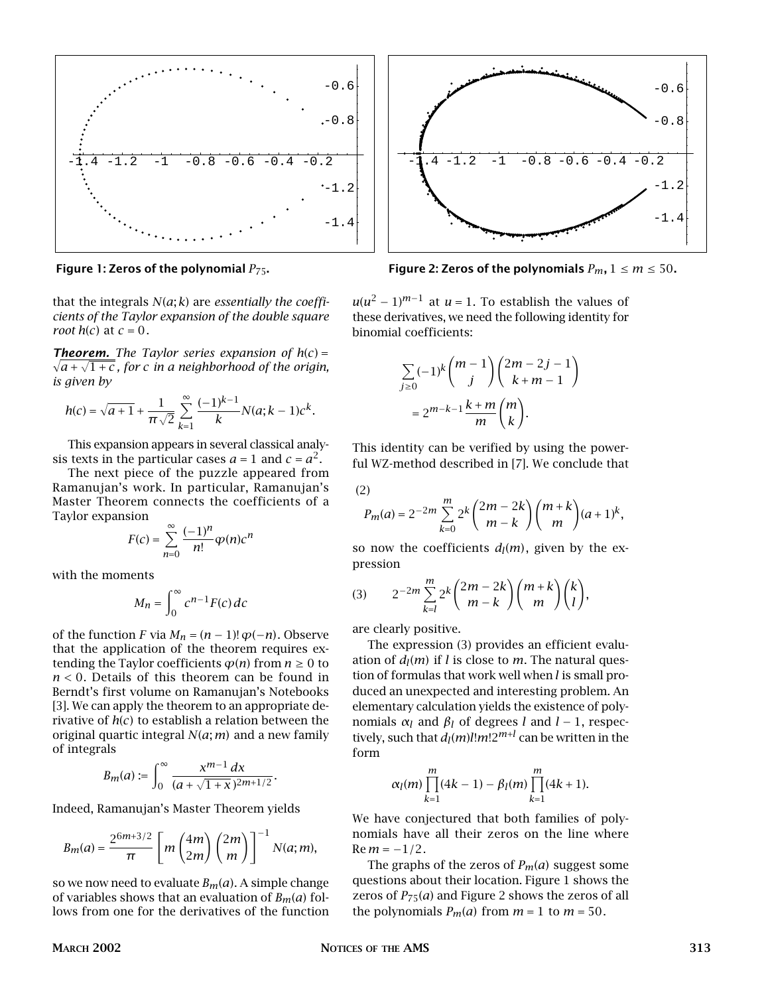

that the integrals *N*(*a*; *k*) are *essentially the coefficients of the Taylor expansion of the double square root*  $h(c)$  at  $c = 0$ .

 $\sqrt{a} + \sqrt{1+c}$ , for c in a neighborhood of the origin, **Theorem.** The Taylor series expansion of  $h(c) =$ *is given by*

$$
h(c) = \sqrt{a+1} + \frac{1}{\pi \sqrt{2}} \sum_{k=1}^{\infty} \frac{(-1)^{k-1}}{k} N(a; k-1) c^{k}.
$$

This expansion appears in several classical analysis texts in the particular cases  $a = 1$  and  $c = a^2$ .

The next piece of the puzzle appeared from Ramanujan's work. In particular, Ramanujan's Master Theorem connects the coefficients of a Taylor expansion

$$
F(c) = \sum_{n=0}^{\infty} \frac{(-1)^n}{n!} \varphi(n) c^n
$$

with the moments

$$
M_n = \int_0^\infty c^{n-1} F(c) \, dc
$$

of the function *F* via  $M_n = (n-1)! \varphi(-n)$ . Observe that the application of the theorem requires extending the Taylor coefficients  $\varphi(n)$  from  $n \geq 0$  to *n <* 0. Details of this theorem can be found in Berndt's first volume on Ramanujan's Notebooks [3]. We can apply the theorem to an appropriate derivative of *h*(*c*) to establish a relation between the original quartic integral *N*(*a*; *m*) and a new family of integrals

$$
B_m(a) := \int_0^\infty \frac{x^{m-1} \, dx}{(a + \sqrt{1 + x})^{2m+1/2}}.
$$

Indeed, Ramanujan's Master Theorem yields

$$
B_m(a) = \frac{2^{6m+3/2}}{\pi} \left[ m \binom{4m}{2m} \binom{2m}{m} \right]^{-1} N(a; m),
$$

so we now need to evaluate  $B_m(a)$ . A simple change of variables shows that an evaluation of  $B_m(a)$  follows from one for the derivatives of the function



**Figure 1: Zeros of the polynomial**  $P_{75}$ . **Figure 2: Zeros of the polynomials**  $P_m$ ,  $1 \le m \le 50$ .

 $u(u^2 - 1)^{m-1}$  at  $u = 1$ . To establish the values of these derivatives, we need the following identity for binomial coefficients:

$$
\sum_{j\geq 0} (-1)^k \binom{m-1}{j} \binom{2m-2j-1}{k+m-1}
$$

$$
= 2^{m-k-1} \frac{k+m}{m} \binom{m}{k}.
$$

This identity can be verified by using the powerful WZ-method described in [7]. We conclude that

(2)

$$
P_m(a) = 2^{-2m} \sum_{k=0}^{m} 2^k {2m - 2k \choose m - k} {m + k \choose m} (a + 1)^k,
$$

so now the coefficients  $d_l(m)$ , given by the expression

$$
(3) \qquad 2^{-2m}\sum_{k=l}^{m}2^{k}\binom{2m-2k}{m-k}\binom{m+k}{m}\binom{k}{l},
$$

are clearly positive.

The expression (3) provides an efficient evaluation of  $d_l(m)$  if *l* is close to *m*. The natural question of formulas that work well when *l* is small produced an unexpected and interesting problem. An elementary calculation yields the existence of polynomials  $α_l$  and  $β_l$  of degrees *l* and  $l-1$ , respectively, such that  $d_l(m)$ *l*! $m!2^{m+l}$  can be written in the form

$$
\alpha_l(m) \prod_{k=1}^m (4k-1) - \beta_l(m) \prod_{k=1}^m (4k+1).
$$

We have conjectured that both families of polynomials have all their zeros on the line where  $Re m = -1/2$ .

The graphs of the zeros of *Pm*(*a*) suggest some questions about their location. Figure 1 shows the zeros of  $P_{75}(a)$  and Figure 2 shows the zeros of all the polynomials  $P_m(a)$  from  $m = 1$  to  $m = 50$ .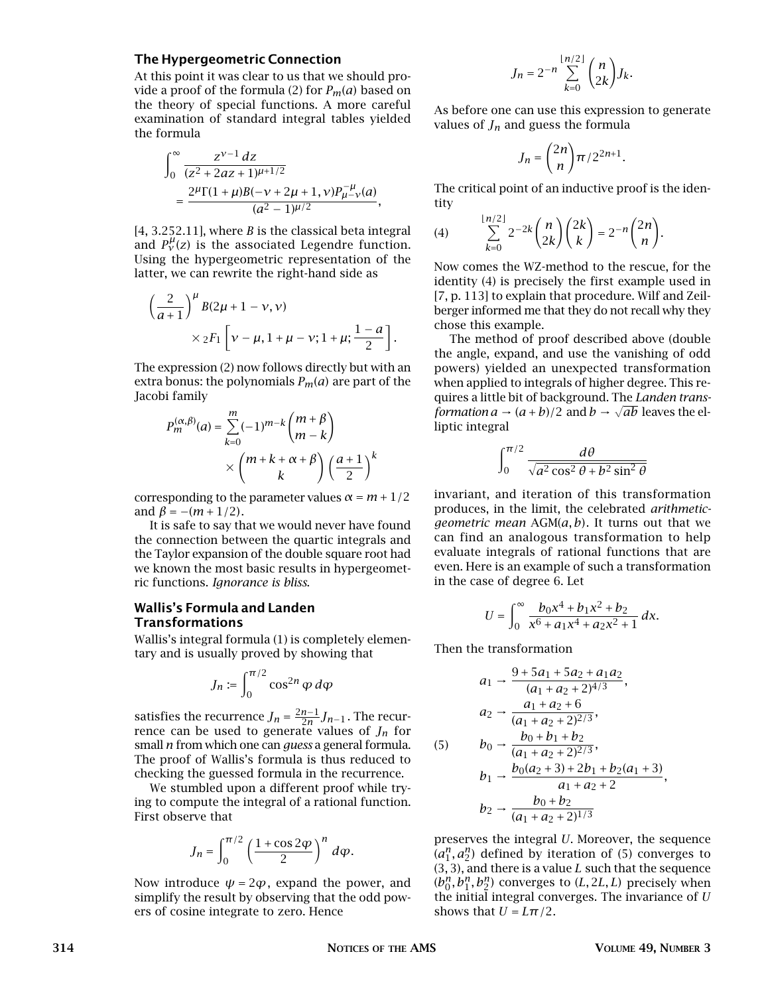## **The Hypergeometric Connection**

At this point it was clear to us that we should provide a proof of the formula (2) for *Pm*(*a*) based on the theory of special functions. A more careful examination of standard integral tables yielded the formula

$$
\begin{aligned} &\int_0^\infty \frac{z^{\nu-1}\,dz}{(z^2+2az+1)^{\mu+1/2}} \\ &=\frac{2^\mu \Gamma(1+\mu)B(-\nu+2\mu+1,\nu)P_\mu^{-\mu}(\alpha)}{(a^2-1)^{\mu/2}}, \end{aligned}
$$

[4, 3.252.11], where *B* is the classical beta integral and  $P_v^{\mu}(z)$  is the associated Legendre function. Using the hypergeometric representation of the latter, we can rewrite the right-hand side as

$$
\left(\frac{2}{a+1}\right)^{\mu} B(2\mu+1-\nu,\nu)
$$
  
 
$$
\times 2F_1 \left[\nu-\mu, 1+\mu-\nu; 1+\mu; \frac{1-a}{2}\right].
$$

The expression (2) now follows directly but with an extra bonus: the polynomials  $P_m(a)$  are part of the Jacobi family

$$
P_m^{(\alpha,\beta)}(a) = \sum_{k=0}^m (-1)^{m-k} {m+\beta \choose m-k}
$$

$$
\times {m+k+\alpha+\beta \choose k} \left(\frac{a+1}{2}\right)^k
$$

corresponding to the parameter values  $\alpha = m + 1/2$ and  $\beta = -(m+1/2)$ .

It is safe to say that we would never have found the connection between the quartic integrals and the Taylor expansion of the double square root had we known the most basic results in hypergeometric functions. *Ignorance is bliss*.

## **Wallis's Formula and Landen Transformations**

Wallis's integral formula (1) is completely elementary and is usually proved by showing that

$$
J_n := \int_0^{\pi/2} \cos^{2n} \varphi \, d\varphi
$$

satisfies the recurrence  $J_n = \frac{2n-1}{2n} J_{n-1}$ . The recurrence can be used to generate values of *Jn* for small *n* from which one can *guess* a general formula. The proof of Wallis's formula is thus reduced to checking the guessed formula in the recurrence.

We stumbled upon a different proof while trying to compute the integral of a rational function. First observe that

$$
J_n = \int_0^{\pi/2} \left(\frac{1+\cos 2\varphi}{2}\right)^n d\varphi.
$$

Now introduce  $\psi = 2\varphi$ , expand the power, and simplify the result by observing that the odd powers of cosine integrate to zero. Hence

$$
J_n = 2^{-n} \sum_{k=0}^{\lfloor n/2 \rfloor} \binom{n}{2k} J_k.
$$

As before one can use this expression to generate values of  $J_n$  and guess the formula

$$
J_n = \binom{2n}{n} \pi / 2^{2n+1}.
$$

The critical point of an inductive proof is the identity

$$
(4) \qquad \sum_{k=0}^{\lfloor n/2 \rfloor} 2^{-2k} {n \choose 2k} {2k \choose k} = 2^{-n} {2n \choose n}.
$$

Now comes the WZ-method to the rescue, for the identity (4) is precisely the first example used in [7, p. 113] to explain that procedure. Wilf and Zeilberger informed me that they do not recall why they chose this example.

The method of proof described above (double the angle, expand, and use the vanishing of odd powers) yielded an unexpected transformation when applied to integrals of higher degree. This requires a little bit of background. The *Landen transformation a* → (*a* + *b*)/2 and *b* →  $\sqrt{ab}$  leaves the elliptic integral

$$
\int_0^{\pi/2} \frac{d\theta}{\sqrt{a^2 \cos^2 \theta + b^2 \sin^2 \theta}}
$$

invariant, and iteration of this transformation produces, in the limit, the celebrated *arithmeticgeometric mean* AGM(*a, b*). It turns out that we can find an analogous transformation to help evaluate integrals of rational functions that are even. Here is an example of such a transformation in the case of degree 6. Let

$$
U = \int_0^\infty \frac{b_0 x^4 + b_1 x^2 + b_2}{x^6 + a_1 x^4 + a_2 x^2 + 1} \, dx.
$$

Then the transformation

$$
a_1 \rightarrow \frac{9 + 5a_1 + 5a_2 + a_1a_2}{(a_1 + a_2 + 2)^{4/3}},
$$
  
\n
$$
a_2 \rightarrow \frac{a_1 + a_2 + 6}{(a_1 + a_2 + 2)^{2/3}},
$$
  
\n(5) 
$$
b_0 \rightarrow \frac{b_0 + b_1 + b_2}{(a_1 + a_2 + 2)^{2/3}},
$$
  
\n
$$
b_1 \rightarrow \frac{b_0(a_2 + 3) + 2b_1 + b_2(a_1 + 3)}{a_1 + a_2 + 2},
$$
  
\n
$$
b_2 \rightarrow \frac{b_0 + b_2}{(a_1 + a_2 + 2)^{1/3}}
$$

preserves the integral *U*. Moreover, the sequence  $(a_1^n, a_2^n)$  defined by iteration of (5) converges to (3*,* 3), and there is a value *L* such that the sequence  $(b_0^n, b_1^n, b_2^n)$  converges to  $(L, 2L, L)$  precisely when the initial integral converges. The invariance of *U* shows that  $U = L\pi/2$ .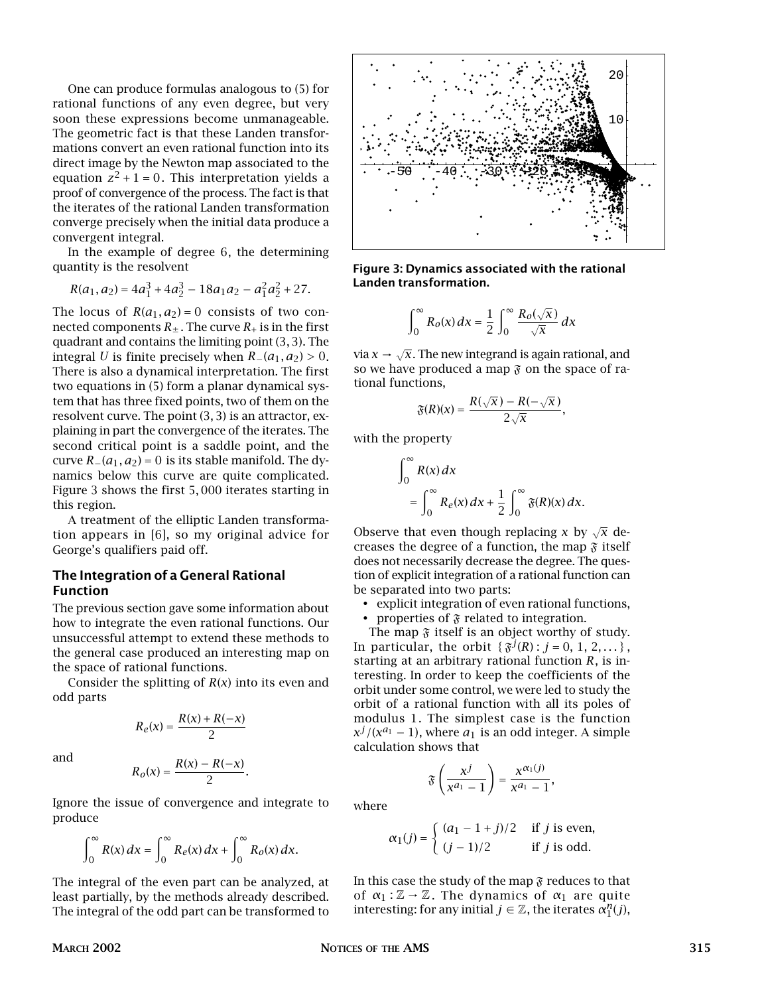One can produce formulas analogous to (5) for rational functions of any even degree, but very soon these expressions become unmanageable. The geometric fact is that these Landen transformations convert an even rational function into its direct image by the Newton map associated to the equation  $z^2 + 1 = 0$ . This interpretation yields a proof of convergence of the process. The fact is that the iterates of the rational Landen transformation converge precisely when the initial data produce a convergent integral.

In the example of degree 6, the determining quantity is the resolvent

$$
R(a_1, a_2) = 4a_1^3 + 4a_2^3 - 18a_1a_2 - a_1^2a_2^2 + 27.
$$

The locus of  $R(a_1, a_2) = 0$  consists of two connected components  $R_{\pm}$ . The curve  $R_{+}$  is in the first quadrant and contains the limiting point (3*,* 3). The integral *U* is finite precisely when  $R_-(a_1, a_2) > 0$ . There is also a dynamical interpretation. The first two equations in (5) form a planar dynamical system that has three fixed points, two of them on the resolvent curve. The point (3*,* 3) is an attractor, explaining in part the convergence of the iterates. The second critical point is a saddle point, and the curve  $R_-(a_1, a_2)=0$  is its stable manifold. The dynamics below this curve are quite complicated. Figure 3 shows the first 5*,* 000 iterates starting in this region.

A treatment of the elliptic Landen transformation appears in [6], so my original advice for George's qualifiers paid off.

# **The Integration of a General Rational Function**

The previous section gave some information about how to integrate the even rational functions. Our unsuccessful attempt to extend these methods to the general case produced an interesting map on the space of rational functions.

Consider the splitting of *R*(*x*) into its even and odd parts

$$
R_e(x) = \frac{R(x) + R(-x)}{2}
$$

and

$$
e(e(x)) = \frac{K(x) + K(-x)}{2}
$$

$$
R_o(x) = \frac{R(x) - R(-x)}{2}.
$$

Ignore the issue of convergence and integrate to produce

$$
\int_0^\infty R(x) dx = \int_0^\infty R_e(x) dx + \int_0^\infty R_o(x) dx.
$$

The integral of the even part can be analyzed, at least partially, by the methods already described. The integral of the odd part can be transformed to



**Figure 3: Dynamics associated with the rational Landen transformation.**

$$
\int_0^\infty R_o(x) dx = \frac{1}{2} \int_0^\infty \frac{R_o(\sqrt{x})}{\sqrt{x}} dx
$$

via  $x \to \sqrt{x}$ . The new integrand is again rational, and so we have produced a map  $\mathfrak F$  on the space of rational functions,

$$
\mathfrak{F}(R)(x)=\frac{R(\sqrt{x})-R(-\sqrt{x})}{2\sqrt{x}},
$$

with the property

$$
\int_0^\infty R(x) dx
$$
  
= 
$$
\int_0^\infty R_e(x) dx + \frac{1}{2} \int_0^\infty \mathfrak{F}(R)(x) dx.
$$

Observe that even though replacing *x* by  $\sqrt{x}$  decreases the degree of a function, the map  $\tilde{\mathfrak{F}}$  itself does not necessarily decrease the degree. The question of explicit integration of a rational function can be separated into two parts:

• explicit integration of even rational functions,

• properties of  $\mathfrak F$  related to integration.

The map  $\mathfrak F$  itself is an object worthy of study. In particular, the orbit  $\{\tilde{s}^{j}(R): j = 0, 1, 2, ...\}$ , starting at an arbitrary rational function *R*, is interesting. In order to keep the coefficients of the orbit under some control, we were led to study the orbit of a rational function with all its poles of modulus 1. The simplest case is the function  $x^{j}/(x^{a_1}-1)$ , where  $a_1$  is an odd integer. A simple calculation shows that

$$
\mathfrak{F}\left(\frac{x^j}{x^{a_1}-1}\right)=\frac{x^{\alpha_1(j)}}{x^{a_1}-1},
$$

where

$$
\alpha_1(j) = \begin{cases} (a_1 - 1 + j)/2 & \text{if } j \text{ is even,} \\ (j - 1)/2 & \text{if } j \text{ is odd.} \end{cases}
$$

In this case the study of the map  $\mathfrak F$  reduces to that of  $\alpha_1 : \mathbb{Z} \to \mathbb{Z}$ . The dynamics of  $\alpha_1$  are quite interesting: for any initial  $j \in \mathbb{Z}$ , the iterates  $\alpha_1^n(j)$ ,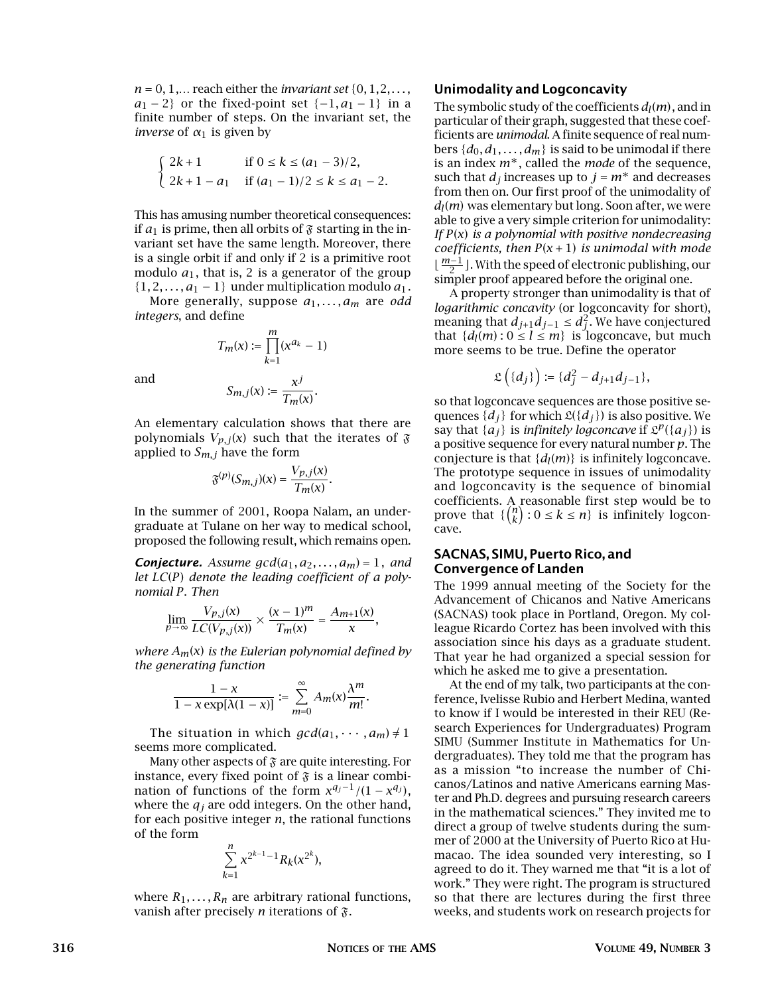*n* = 0, 1,… reach either the *invariant set* {0*,* 1*,*2*,..., a*<sub>1</sub> − 2} or the fixed-point set  $\{-1, a_1 - 1\}$  in a finite number of steps. On the invariant set, the *inverse* of *α*<sup>1</sup> is given by

$$
\begin{cases} 2k+1 & \text{if } 0 \le k \le (a_1-3)/2, \\ 2k+1-a_1 & \text{if } (a_1-1)/2 \le k \le a_1-2. \end{cases}
$$

This has amusing number theoretical consequences: if  $a_1$  is prime, then all orbits of  $\mathfrak F$  starting in the invariant set have the same length. Moreover, there is a single orbit if and only if 2 is a primitive root modulo  $a_1$ , that is, 2 is a generator of the group  $\{1, 2, \ldots, a_1 - 1\}$  under multiplication modulo  $a_1$ .

More generally, suppose *a*1*,...,am* are *odd integers*, and define

$$
T_m(x) := \prod_{k=1}^m (x^{a_k} - 1)
$$

and

$$
S_{m,j}(x) := \frac{x^j}{T_m(x)}.
$$

An elementary calculation shows that there are polynomials  $V_{p,j}(x)$  such that the iterates of  $\mathfrak F$ applied to *Sm,j* have the form

$$
\mathfrak{F}^{(p)}(S_{m,j})(x)=\frac{V_{p,j}(x)}{T_m(x)}
$$

*.*

In the summer of 2001, Roopa Nalam, an undergraduate at Tulane on her way to medical school, proposed the following result, which remains open.

*Conjecture.* Assume  $gcd(a_1, a_2, \ldots, a_m) = 1$ , and *let LC*(*P*) *denote the leading coefficient of a polynomial P*. *Then*

$$
\lim_{p \to \infty} \frac{V_{p,j}(x)}{LC(V_{p,j}(x))} \times \frac{(x-1)^m}{T_m(x)} = \frac{A_{m+1}(x)}{x},
$$

*where Am*(*x*) *is the Eulerian polynomial defined by the generating function*

$$
\frac{1-x}{1-x\exp[\lambda(1-x)]}:=\sum_{m=0}^\infty A_m(x)\frac{\lambda^m}{m!}.
$$

The situation in which  $gcd(a_1, \dots, a_m) \neq 1$ seems more complicated.

Many other aspects of  $\mathfrak F$  are quite interesting. For instance, every fixed point of  $\tilde{x}$  is a linear combination of functions of the form  $x^{q_j-1}/(1-x^{q_j})$ , where the  $q_i$  are odd integers. On the other hand, for each positive integer *n*, the rational functions of the form

$$
\sum_{k=1}^n x^{2^{k-1}-1} R_k(x^{2^k}),
$$

where  $R_1, \ldots, R_n$  are arbitrary rational functions, vanish after precisely *n* iterations of  $\mathfrak{F}$ .

## **Unimodality and Logconcavity**

The symbolic study of the coefficients  $d_l(m)$ , and in particular of their graph, suggested that these coefficients are *unimodal*. A finite sequence of real numbers  $\{d_0, d_1, \ldots, d_m\}$  is said to be unimodal if there is an index *m*∗, called the *mode* of the sequence, such that  $d_j$  increases up to  $j = m^*$  and decreases from then on. Our first proof of the unimodality of  $d_l(m)$  was elementary but long. Soon after, we were able to give a very simple criterion for unimodality: *If P*(*x*) *is a polynomial with positive nondecreasing coefficients, then P*(*x* + 1) *is unimodal with mode <sup>m</sup>*−<sup>1</sup> <sup>2</sup> . With the speed of electronic publishing, our simpler proof appeared before the original one.

A property stronger than unimodality is that of *logarithmic concavity* (or logconcavity for short), meaning that  $d_{j+1}d_{j-1}$  ≤  $d_j^2$ . We have conjectured that  $\{d_l(m): 0 \le l \le m\}$  is logconcave, but much more seems to be true. Define the operator

$$
\mathfrak{L}\left(\{d_j\}\right) := \{d_j^2 - d_{j+1}d_{j-1}\},\
$$

so that logconcave sequences are those positive sequences  $\{d_i\}$  for which  $\mathfrak{L}(\{d_i\})$  is also positive. We say that  $\{a_i\}$  is *infinitely logconcave* if  $\mathcal{L}^p(\{a_i\})$  is a positive sequence for every natural number *p*. The conjecture is that  $\{d_l(m)\}\$ is infinitely logconcave. The prototype sequence in issues of unimodality and logconcavity is the sequence of binomial coefficients. A reasonable first step would be to prove that  $\{n \choose k : 0 \le k \le n\}$  is infinitely logconcave.

## **SACNAS, SIMU, Puerto Rico, and Convergence of Landen**

The 1999 annual meeting of the Society for the Advancement of Chicanos and Native Americans (SACNAS) took place in Portland, Oregon. My colleague Ricardo Cortez has been involved with this association since his days as a graduate student. That year he had organized a special session for which he asked me to give a presentation.

At the end of my talk, two participants at the conference, Ivelisse Rubio and Herbert Medina, wanted to know if I would be interested in their REU (Research Experiences for Undergraduates) Program SIMU (Summer Institute in Mathematics for Undergraduates). They told me that the program has as a mission "to increase the number of Chicanos/Latinos and native Americans earning Master and Ph.D. degrees and pursuing research careers in the mathematical sciences." They invited me to direct a group of twelve students during the summer of 2000 at the University of Puerto Rico at Humacao. The idea sounded very interesting, so I agreed to do it. They warned me that "it is a lot of work." They were right. The program is structured so that there are lectures during the first three weeks, and students work on research projects for